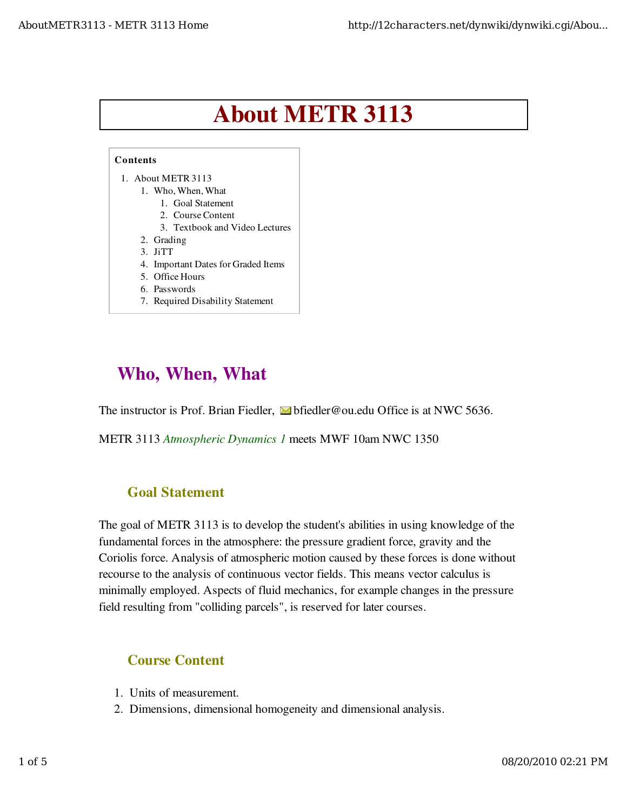# About METR 3113



# Who, When, What

The instructor is Prof. Brian Fiedler,  $\blacksquare$  bfiedler@ou.edu Office is at NWC 5636.

METR 3113 Atmospheric Dynamics 1 meets MWF 10am NWC 1350

#### Goal Statement

The goal of METR 3113 is to develop the student's abilities in using knowledge of the fundamental forces in the atmosphere: the pressure gradient force, gravity and the Coriolis force. Analysis of atmospheric motion caused by these forces is done without recourse to the analysis of continuous vector fields. This means vector calculus is minimally employed. Aspects of fluid mechanics, for example changes in the pressure field resulting from "colliding parcels", is reserved for later courses.

#### Course Content

- 1. Units of measurement.
- 2. Dimensions, dimensional homogeneity and dimensional analysis.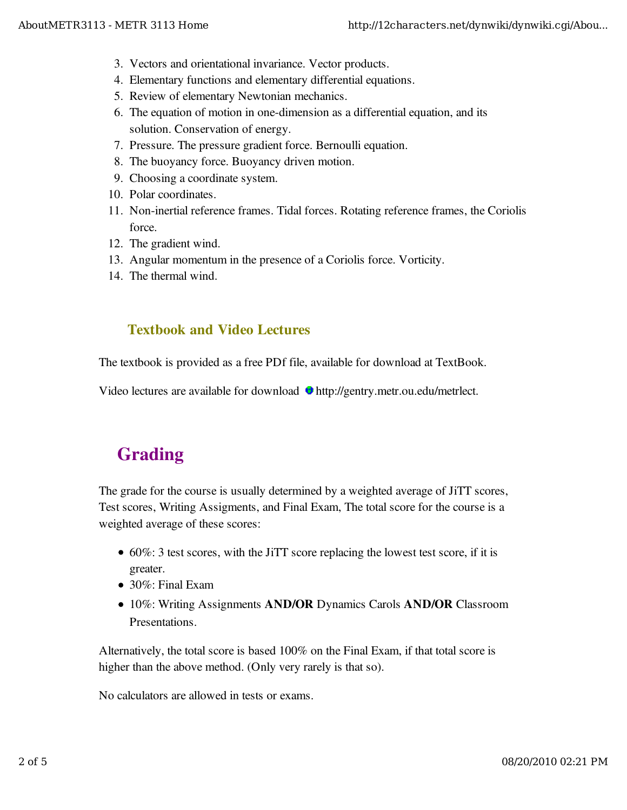- 3. Vectors and orientational invariance. Vector products.
- 4. Elementary functions and elementary differential equations.
- 5. Review of elementary Newtonian mechanics.
- The equation of motion in one-dimension as a differential equation, and its 6. solution. Conservation of energy.
- 7. Pressure. The pressure gradient force. Bernoulli equation.
- 8. The buoyancy force. Buoyancy driven motion.
- 9. Choosing a coordinate system.
- 10. Polar coordinates.
- 11. Non-inertial reference frames. Tidal forces. Rotating reference frames, the Coriolis force.
- 12. The gradient wind.
- 13. Angular momentum in the presence of a Coriolis force. Vorticity.
- 14. The thermal wind.

### Textbook and Video Lectures

The textbook is provided as a free PDf file, available for download at TextBook.

Video lectures are available for download **http://gentry.metr.ou.edu/metrlect.** 

# Grading

The grade for the course is usually determined by a weighted average of JiTT scores, Test scores, Writing Assigments, and Final Exam, The total score for the course is a weighted average of these scores:

- 60%: 3 test scores, with the JiTT score replacing the lowest test score, if it is greater.
- 30%: Final Exam
- 10%: Writing Assignments **AND/OR** Dynamics Carols **AND/OR** Classroom Presentations.

Alternatively, the total score is based 100% on the Final Exam, if that total score is higher than the above method. (Only very rarely is that so).

No calculators are allowed in tests or exams.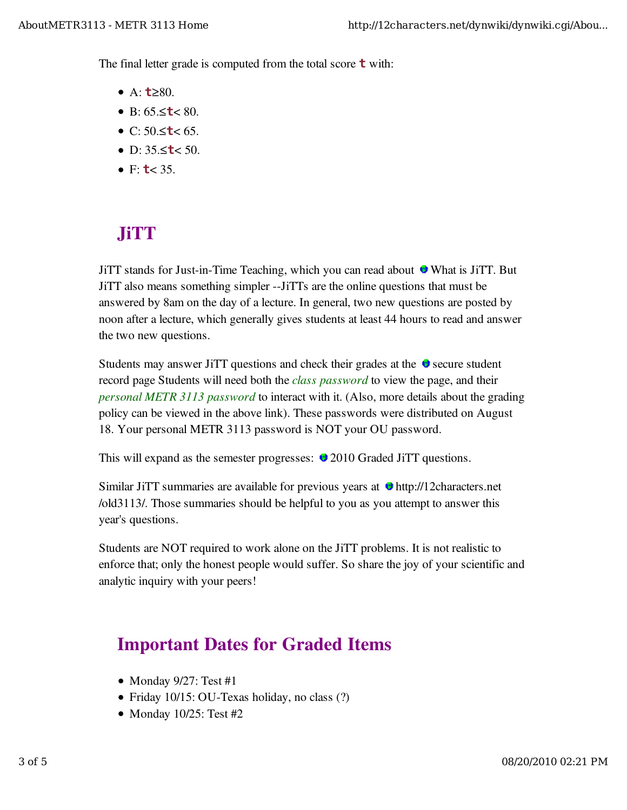The final letter grade is computed from the total score **t** with:

- A: **t**≥80.
- B: 65.≤**t**< 80.
- C: 50.≤**t**< 65.
- D: 35.≤**t**< 50.
- $\bullet$  F: **t**< 35.

# JiTT

JiTT stands for Just-in-Time Teaching, which you can read about  $\bullet$  What is JiTT. But JiTT also means something simpler --JiTTs are the online questions that must be answered by 8am on the day of a lecture. In general, two new questions are posted by noon after a lecture, which generally gives students at least 44 hours to read and answer the two new questions.

Students may answer JiTT questions and check their grades at the  $\bullet$  secure student record page Students will need both the *class password* to view the page, and their personal METR 3113 password to interact with it. (Also, more details about the grading policy can be viewed in the above link). These passwords were distributed on August 18. Your personal METR 3113 password is NOT your OU password.

This will expand as the semester progresses:  $\bullet$  2010 Graded JiTT questions.

Similar JiTT summaries are available for previous years at  $\bullet$  http://12characters.net /old3113/. Those summaries should be helpful to you as you attempt to answer this year's questions.

Students are NOT required to work alone on the JiTT problems. It is not realistic to enforce that; only the honest people would suffer. So share the joy of your scientific and analytic inquiry with your peers!

### Important Dates for Graded Items

- $\bullet$  Monday 9/27: Test #1
- Friday 10/15: OU-Texas holiday, no class (?)
- Monday  $10/25$ : Test #2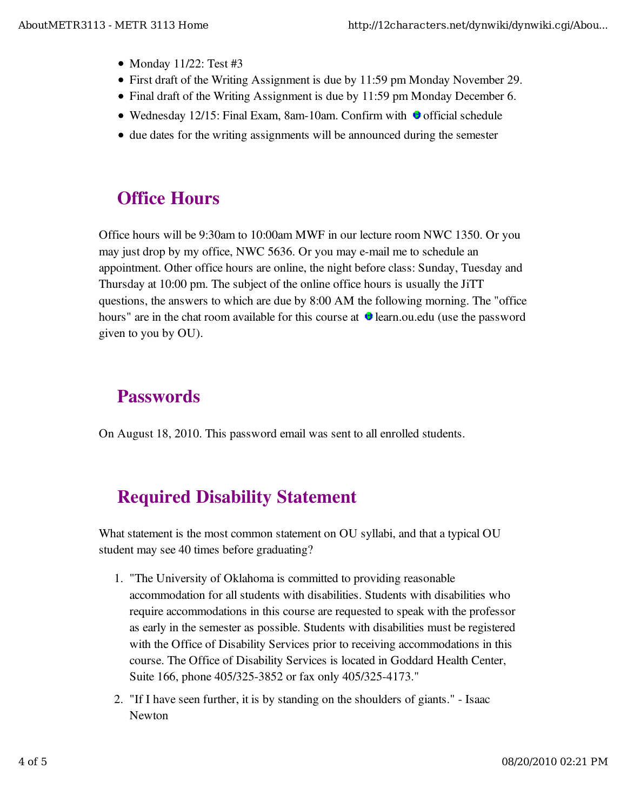- $\bullet$  Monday 11/22: Test #3
- First draft of the Writing Assignment is due by 11:59 pm Monday November 29.
- Final draft of the Writing Assignment is due by 11:59 pm Monday December 6.
- $\bullet$  Wednesday 12/15: Final Exam, 8am-10am. Confirm with  $\bullet$  official schedule
- due dates for the writing assignments will be announced during the semester

# Office Hours

Office hours will be 9:30am to 10:00am MWF in our lecture room NWC 1350. Or you may just drop by my office, NWC 5636. Or you may e-mail me to schedule an appointment. Other office hours are online, the night before class: Sunday, Tuesday and Thursday at 10:00 pm. The subject of the online office hours is usually the JiTT questions, the answers to which are due by 8:00 AM the following morning. The "office hours" are in the chat room available for this course at  $\bullet$  learn.ou.edu (use the password given to you by OU).

# **Passwords**

On August 18, 2010. This password email was sent to all enrolled students.

# Required Disability Statement

What statement is the most common statement on OU syllabi, and that a typical OU student may see 40 times before graduating?

- 1. "The University of Oklahoma is committed to providing reasonable accommodation for all students with disabilities. Students with disabilities who require accommodations in this course are requested to speak with the professor as early in the semester as possible. Students with disabilities must be registered with the Office of Disability Services prior to receiving accommodations in this course. The Office of Disability Services is located in Goddard Health Center, Suite 166, phone 405/325-3852 or fax only 405/325-4173."
- 2. "If I have seen further, it is by standing on the shoulders of giants." Isaac Newton